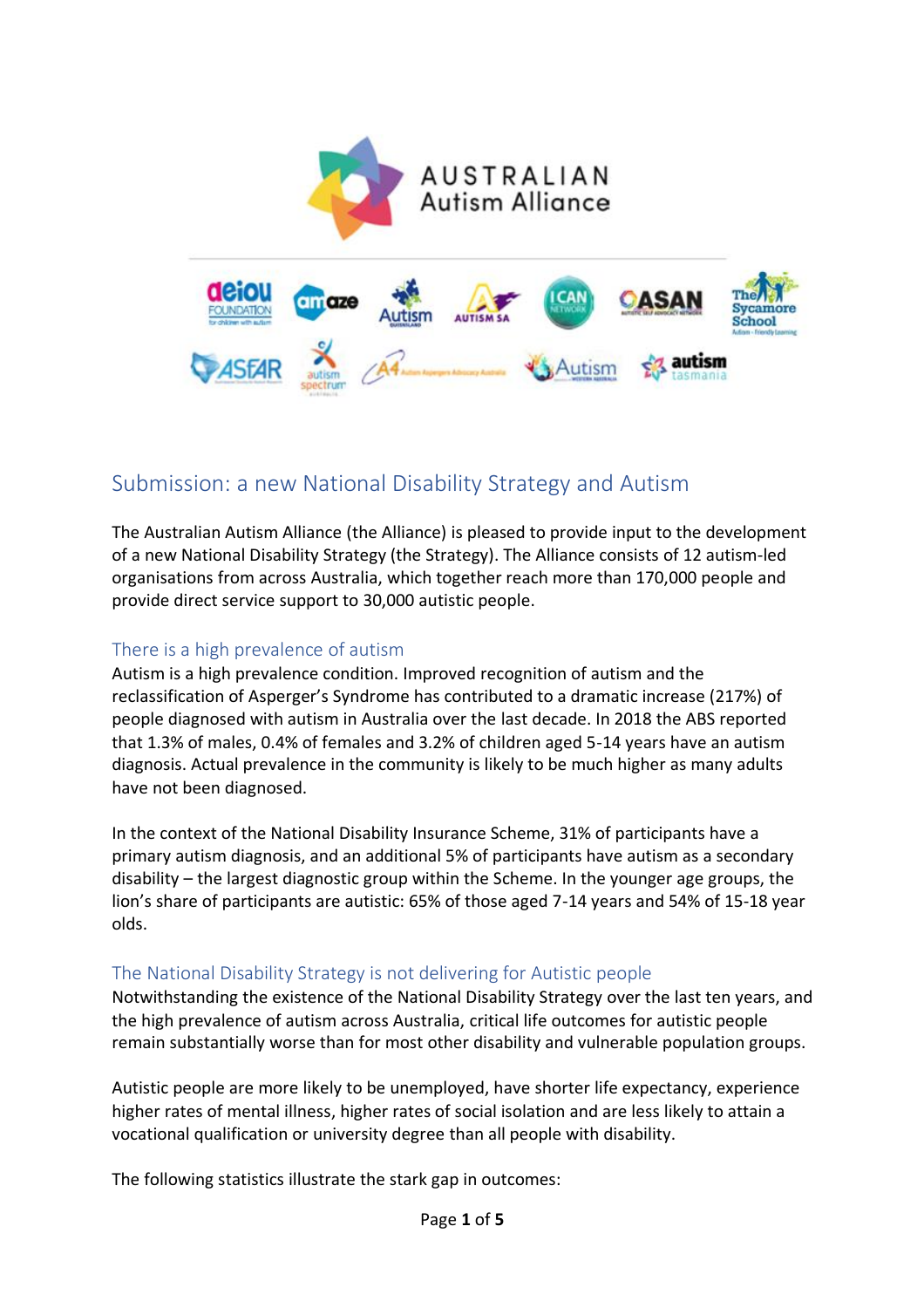

# Submission: a new National Disability Strategy and Autism

The Australian Autism Alliance (the Alliance) is pleased to provide input to the development of a new National Disability Strategy (the Strategy). The Alliance consists of 12 autism-led organisations from across Australia, which together reach more than 170,000 people and provide direct service support to 30,000 autistic people.

### There is a high prevalence of autism

Autism is a high prevalence condition. Improved recognition of autism and the reclassification of Asperger's Syndrome has contributed to a dramatic increase (217%) of people diagnosed with autism in Australia over the last decade. In 2018 the ABS reported that 1.3% of males, 0.4% of females and 3.2% of children aged 5-14 years have an autism diagnosis. Actual prevalence in the community is likely to be much higher as many adults have not been diagnosed.

In the context of the National Disability Insurance Scheme, 31% of participants have a primary autism diagnosis, and an additional 5% of participants have autism as a secondary disability – the largest diagnostic group within the Scheme. In the younger age groups, the lion's share of participants are autistic: 65% of those aged 7-14 years and 54% of 15-18 year olds.

### The National Disability Strategy is not delivering for Autistic people

Notwithstanding the existence of the National Disability Strategy over the last ten years, and the high prevalence of autism across Australia, critical life outcomes for autistic people remain substantially worse than for most other disability and vulnerable population groups.

Autistic people are more likely to be unemployed, have shorter life expectancy, experience higher rates of mental illness, higher rates of social isolation and are less likely to attain a vocational qualification or university degree than all people with disability.

The following statistics illustrate the stark gap in outcomes: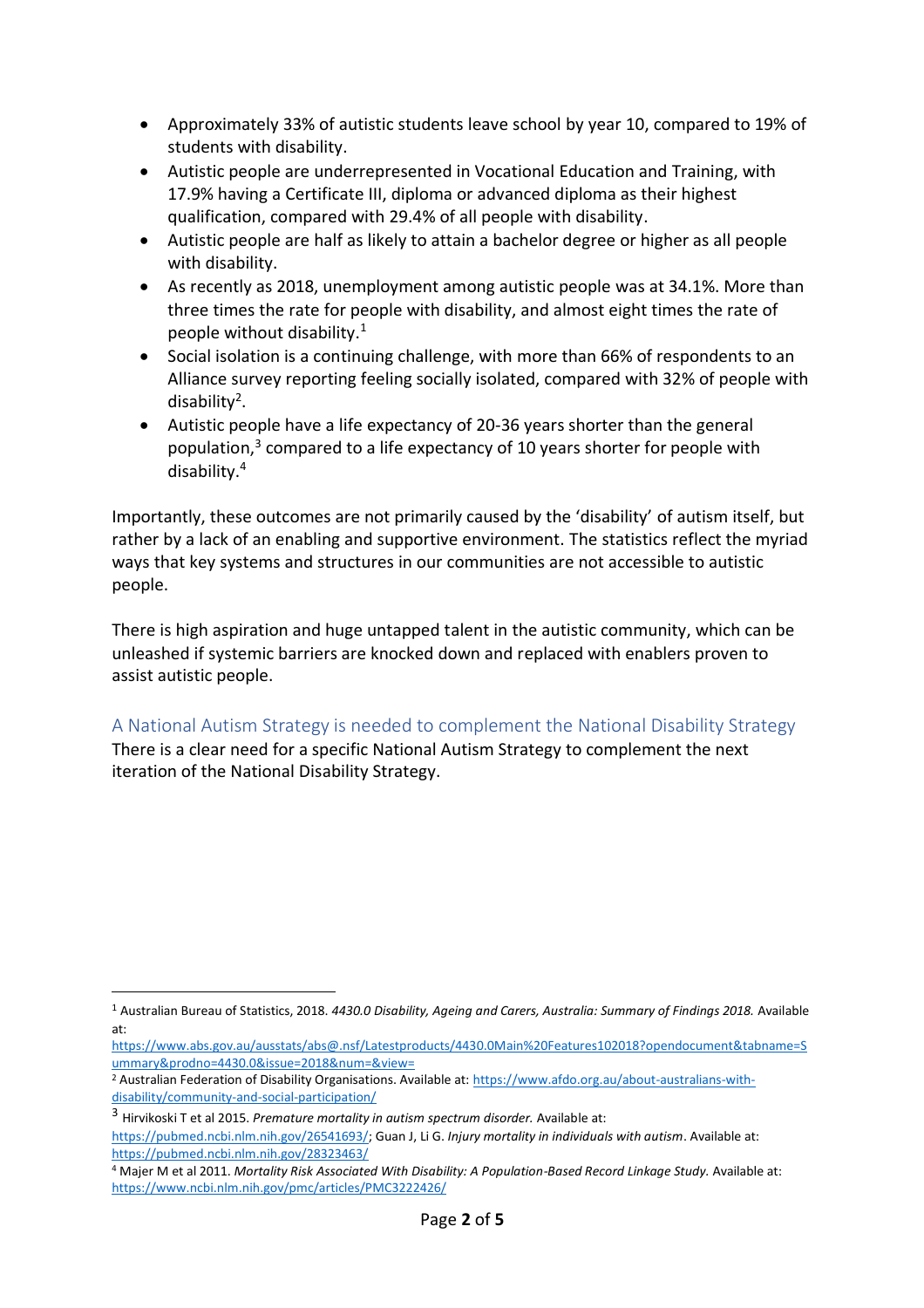- Approximately 33% of autistic students leave school by year 10, compared to 19% of students with disability.
- Autistic people are underrepresented in Vocational Education and Training, with 17.9% having a Certificate III, diploma or advanced diploma as their highest qualification, compared with 29.4% of all people with disability.
- Autistic people are half as likely to attain a bachelor degree or higher as all people with disability.
- As recently as 2018, unemployment among autistic people was at 34.1%. More than three times the rate for people with disability, and almost eight times the rate of people without disability.<sup>1</sup>
- Social isolation is a continuing challenge, with more than 66% of respondents to an Alliance survey reporting feeling socially isolated, compared with 32% of people with disability<sup>2</sup>.
- Autistic people have a life expectancy of 20-36 years shorter than the general population,<sup>3</sup> compared to a life expectancy of 10 years shorter for people with disability.<sup>4</sup>

Importantly, these outcomes are not primarily caused by the 'disability' of autism itself, but rather by a lack of an enabling and supportive environment. The statistics reflect the myriad ways that key systems and structures in our communities are not accessible to autistic people.

There is high aspiration and huge untapped talent in the autistic community, which can be unleashed if systemic barriers are knocked down and replaced with enablers proven to assist autistic people.

## A National Autism Strategy is needed to complement the National Disability Strategy

There is a clear need for a specific National Autism Strategy to complement the next iteration of the National Disability Strategy.

<sup>1</sup> Australian Bureau of Statistics, 2018. *4430.0 Disability, Ageing and Carers, Australia: Summary of Findings 2018.* Available at:

[https://www.abs.gov.au/ausstats/abs@.nsf/Latestproducts/4430.0Main%20Features102018?opendocument&tabname=S](https://www.abs.gov.au/ausstats/abs@.nsf/Latestproducts/4430.0Main%20Features102018?opendocument&tabname=Summary&prodno=4430.0&issue=2018&num=&view=) [ummary&prodno=4430.0&issue=2018&num=&view=](https://www.abs.gov.au/ausstats/abs@.nsf/Latestproducts/4430.0Main%20Features102018?opendocument&tabname=Summary&prodno=4430.0&issue=2018&num=&view=)

<sup>2</sup> Australian Federation of Disability Organisations. Available at: [https://www.afdo.org.au/about-australians-with](https://www.afdo.org.au/about-australians-with-disability/community-and-social-participation/)[disability/community-and-social-participation/](https://www.afdo.org.au/about-australians-with-disability/community-and-social-participation/)

<sup>3</sup> Hirvikoski T et al 2015. *Premature mortality in autism spectrum disorder.* Available at: [https://pubmed.ncbi.nlm.nih.gov/26541693/;](https://pubmed.ncbi.nlm.nih.gov/26541693/) Guan J, Li G. *Injury mortality in individuals with autism*. Available at: <https://pubmed.ncbi.nlm.nih.gov/28323463/>

<sup>4</sup> Majer M et al 2011. *Mortality Risk Associated With Disability: A Population-Based Record Linkage Study.* Available at: <https://www.ncbi.nlm.nih.gov/pmc/articles/PMC3222426/>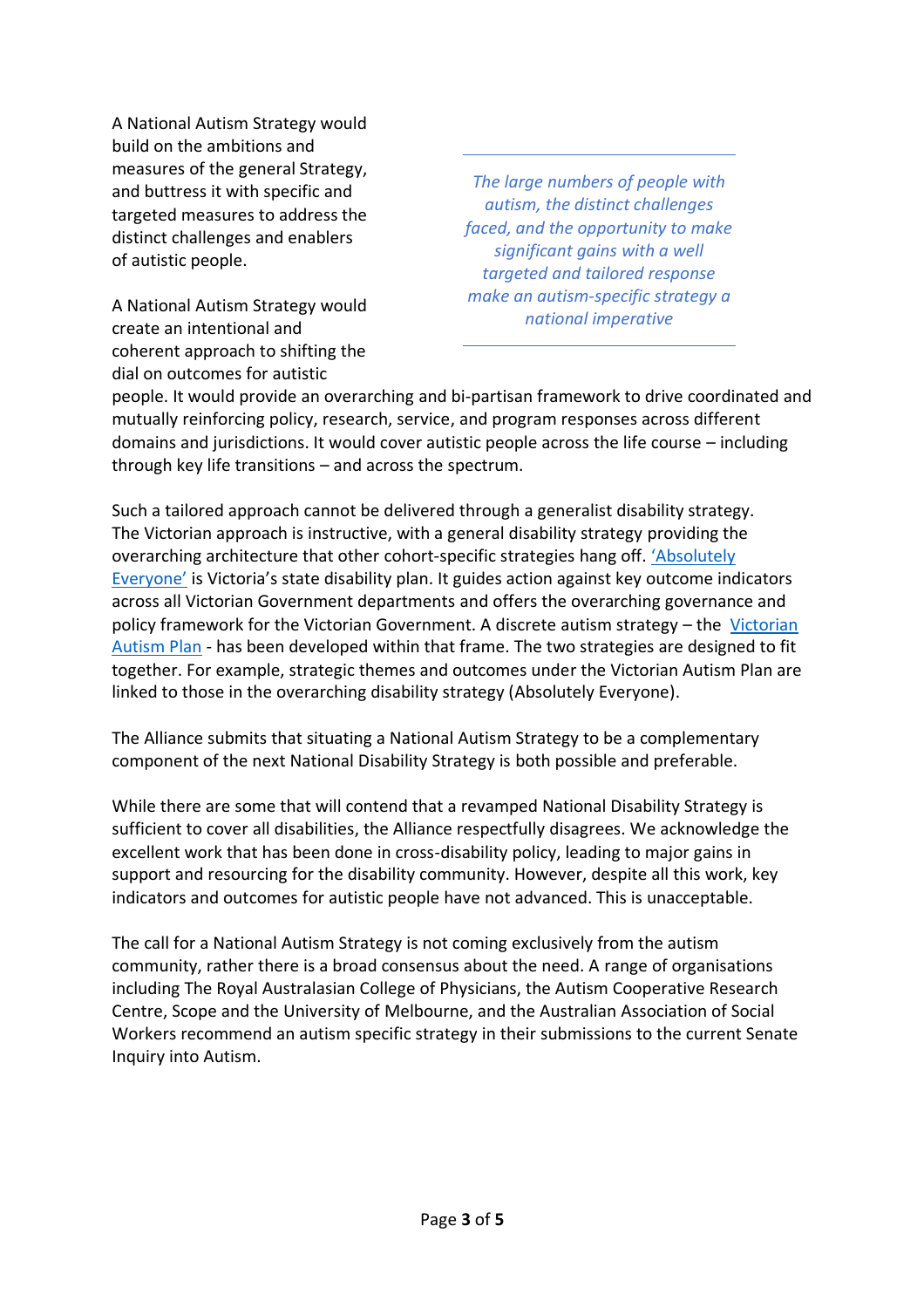A National Autism Strategy would build on the ambitions and measures of the general Strategy, and buttress it with specific and targeted measures to address the distinct challenges and enablers of autistic people.

A National Autism Strategy would create an intentional and coherent approach to shifting the dial on outcomes for autistic

*The large numbers of people with autism, the distinct challenges faced, and the opportunity to make significant gains with a well targeted and tailored response make an autism-specific strategy a national imperative*

people. It would provide an overarching and bi-partisan framework to drive coordinated and mutually reinforcing policy, research, service, and program responses across different domains and jurisdictions. It would cover autistic people across the life course – including through key life transitions – and across the spectrum.

Such a tailored approach cannot be delivered through a generalist disability strategy. The Victorian approach is instructive, with a general disability strategy providing the overarching architecture that other cohort-specific strategies hang off. ['Absolutely](https://www.statedisabilityplan.vic.gov.au/)  [Everyone'](https://www.statedisabilityplan.vic.gov.au/) is Victoria's state disability plan. It guides action against key outcome indicators across all Victorian Government departments and offers the overarching governance and policy framework for the [Victorian](https://www.statedisabilityplan.vic.gov.au/application/files/5115/7543/9606/1805022_Victorian_Autism_Plan-WEB.pdf) Government. A discrete autism strategy – the Victorian [Autism Plan](https://www.statedisabilityplan.vic.gov.au/application/files/5115/7543/9606/1805022_Victorian_Autism_Plan-WEB.pdf) - has been developed within that frame. The two strategies are designed to fit together. For example, strategic themes and outcomes under the Victorian Autism Plan are linked to those in the overarching disability strategy (Absolutely Everyone).

The Alliance submits that situating a National Autism Strategy to be a complementary component of the next National Disability Strategy is both possible and preferable.

While there are some that will contend that a revamped National Disability Strategy is sufficient to cover all disabilities, the Alliance respectfully disagrees. We acknowledge the excellent work that has been done in cross-disability policy, leading to major gains in support and resourcing for the disability community. However, despite all this work, key indicators and outcomes for autistic people have not advanced. This is unacceptable.

The call for a National Autism Strategy is not coming exclusively from the autism community, rather there is a broad consensus about the need. A range of organisations including The Royal Australasian College of Physicians, the Autism Cooperative Research Centre, Scope and the University of Melbourne, and the Australian Association of Social Workers recommend an autism specific strategy in their submissions to the current Senate Inquiry into Autism.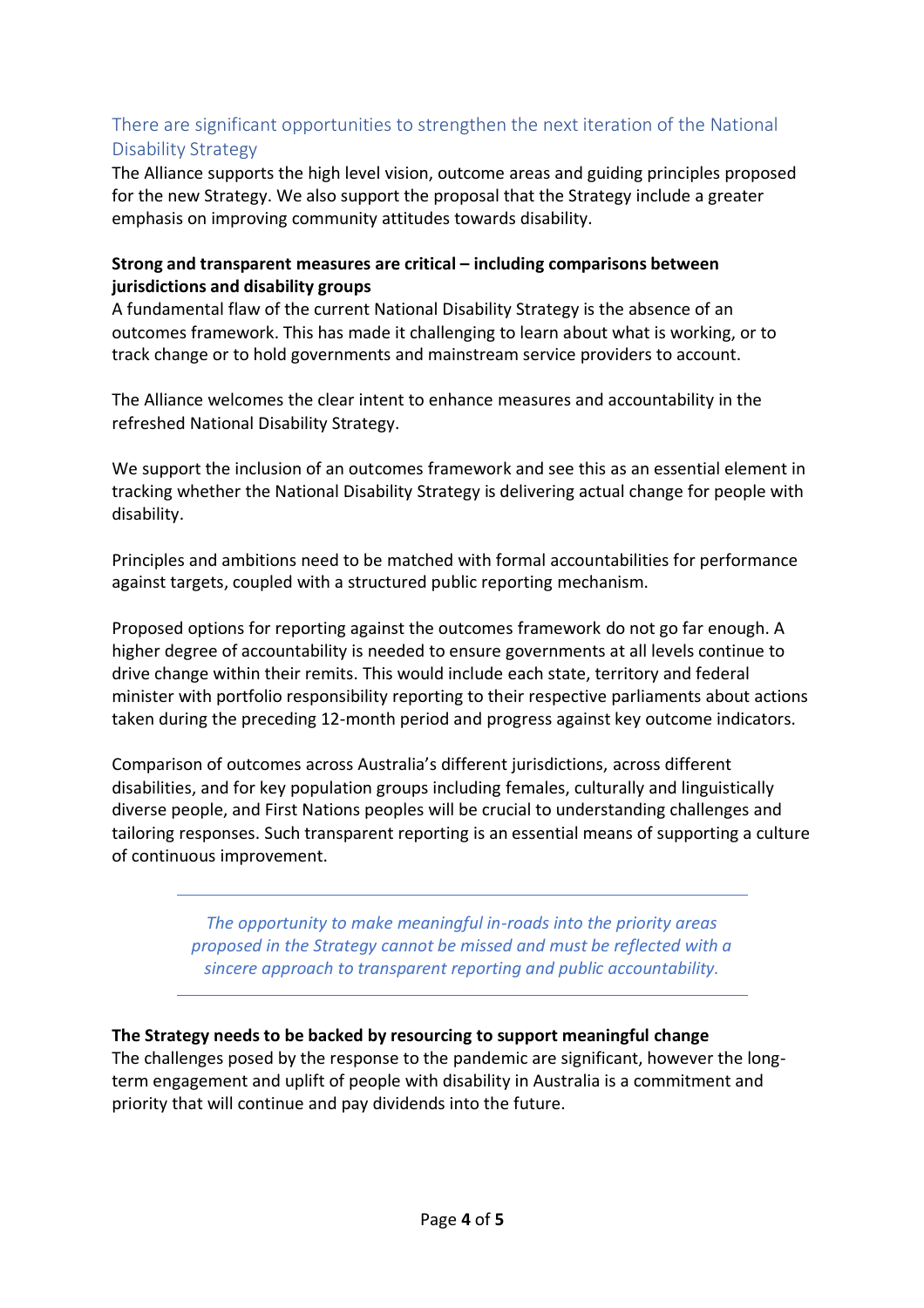# There are significant opportunities to strengthen the next iteration of the National Disability Strategy

The Alliance supports the high level vision, outcome areas and guiding principles proposed for the new Strategy. We also support the proposal that the Strategy include a greater emphasis on improving community attitudes towards disability.

### **Strong and transparent measures are critical – including comparisons between jurisdictions and disability groups**

A fundamental flaw of the current National Disability Strategy is the absence of an outcomes framework. This has made it challenging to learn about what is working, or to track change or to hold governments and mainstream service providers to account.

The Alliance welcomes the clear intent to enhance measures and accountability in the refreshed National Disability Strategy.

We support the inclusion of an outcomes framework and see this as an essential element in tracking whether the National Disability Strategy is delivering actual change for people with disability.

Principles and ambitions need to be matched with formal accountabilities for performance against targets, coupled with a structured public reporting mechanism.

Proposed options for reporting against the outcomes framework do not go far enough. A higher degree of accountability is needed to ensure governments at all levels continue to drive change within their remits. This would include each state, territory and federal minister with portfolio responsibility reporting to their respective parliaments about actions taken during the preceding 12-month period and progress against key outcome indicators.

Comparison of outcomes across Australia's different jurisdictions, across different disabilities, and for key population groups including females, culturally and linguistically diverse people, and First Nations peoples will be crucial to understanding challenges and tailoring responses. Such transparent reporting is an essential means of supporting a culture of continuous improvement.

> *The opportunity to make meaningful in-roads into the priority areas proposed in the Strategy cannot be missed and must be reflected with a sincere approach to transparent reporting and public accountability.*

### **The Strategy needs to be backed by resourcing to support meaningful change**

The challenges posed by the response to the pandemic are significant, however the longterm engagement and uplift of people with disability in Australia is a commitment and priority that will continue and pay dividends into the future.